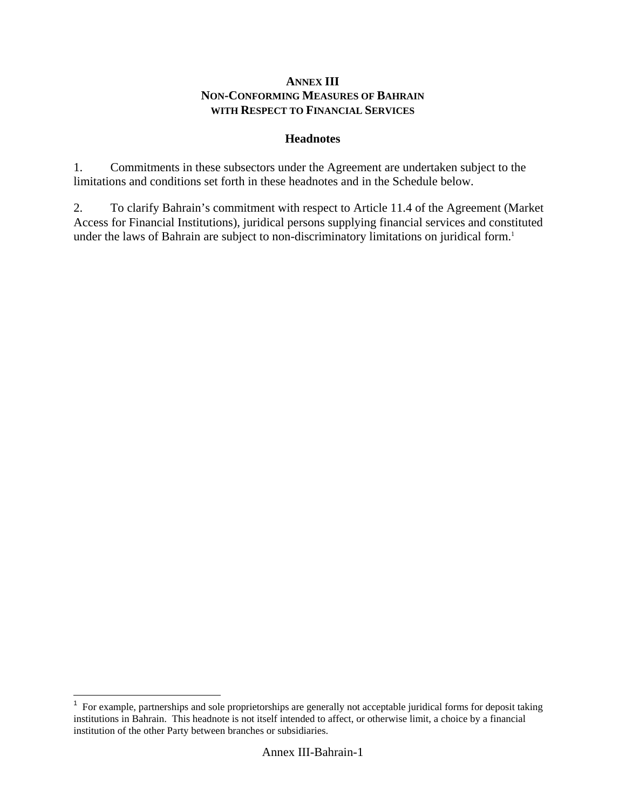## **ANNEX III NON-CONFORMING MEASURES OF BAHRAIN WITH RESPECT TO FINANCIAL SERVICES**

## **Headnotes**

1. Commitments in these subsectors under the Agreement are undertaken subject to the limitations and conditions set forth in these headnotes and in the Schedule below.

2. To clarify Bahrain's commitment with respect to Article 11.4 of the Agreement (Market Access for Financial Institutions), juridical persons supplying financial services and constituted under the laws of Bahrain are subject to non-discriminatory limitations on juridical form.<sup>1</sup>

The sumple example, partnerships and sole proprietorships are generally not acceptable juridical forms for deposit taking institutions in Bahrain. This headnote is not itself intended to affect, or otherwise limit, a choice by a financial institution of the other Party between branches or subsidiaries.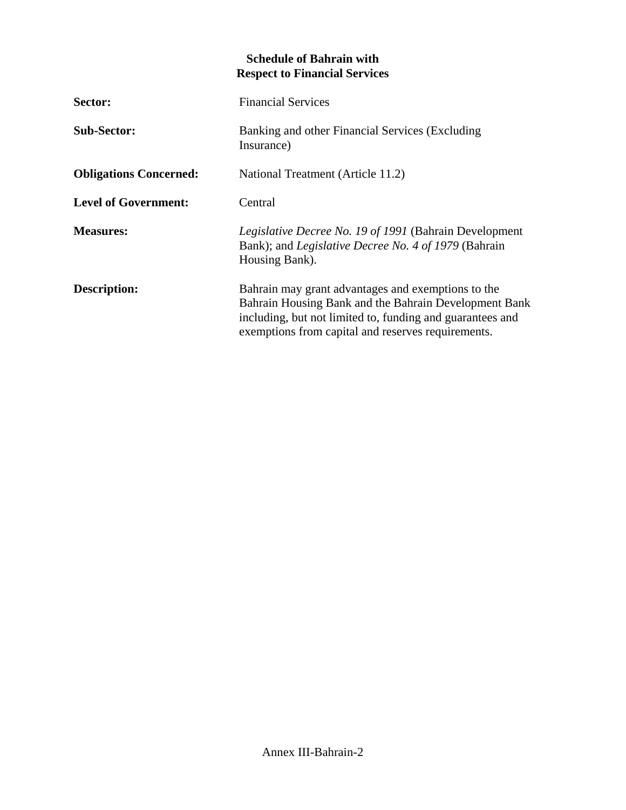## **Schedule of Bahrain with Respect to Financial Services**

| Sector:                       | <b>Financial Services</b>                                                                                                                                                                                                      |
|-------------------------------|--------------------------------------------------------------------------------------------------------------------------------------------------------------------------------------------------------------------------------|
| <b>Sub-Sector:</b>            | Banking and other Financial Services (Excluding<br>Insurance)                                                                                                                                                                  |
| <b>Obligations Concerned:</b> | National Treatment (Article 11.2)                                                                                                                                                                                              |
| <b>Level of Government:</b>   | Central                                                                                                                                                                                                                        |
| <b>Measures:</b>              | <i>Legislative Decree No. 19 of 1991</i> (Bahrain Development<br>Bank); and <i>Legislative Decree No. 4 of 1979</i> (Bahrain<br>Housing Bank).                                                                                 |
| <b>Description:</b>           | Bahrain may grant advantages and exemptions to the<br>Bahrain Housing Bank and the Bahrain Development Bank<br>including, but not limited to, funding and guarantees and<br>exemptions from capital and reserves requirements. |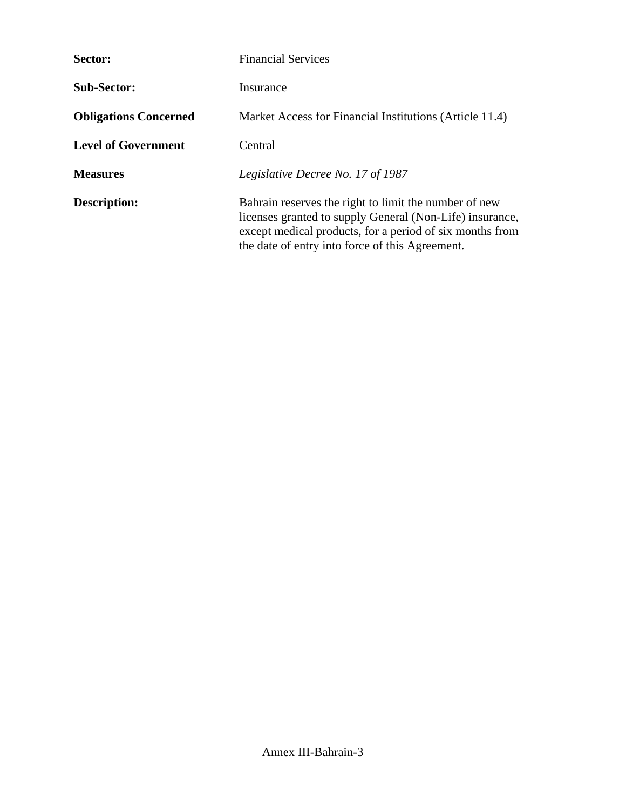| Sector:                      | <b>Financial Services</b>                                                                                                                                                                                                        |
|------------------------------|----------------------------------------------------------------------------------------------------------------------------------------------------------------------------------------------------------------------------------|
| <b>Sub-Sector:</b>           | Insurance                                                                                                                                                                                                                        |
| <b>Obligations Concerned</b> | Market Access for Financial Institutions (Article 11.4)                                                                                                                                                                          |
| <b>Level of Government</b>   | Central                                                                                                                                                                                                                          |
| <b>Measures</b>              | Legislative Decree No. 17 of 1987                                                                                                                                                                                                |
| Description:                 | Bahrain reserves the right to limit the number of new<br>licenses granted to supply General (Non-Life) insurance,<br>except medical products, for a period of six months from<br>the date of entry into force of this Agreement. |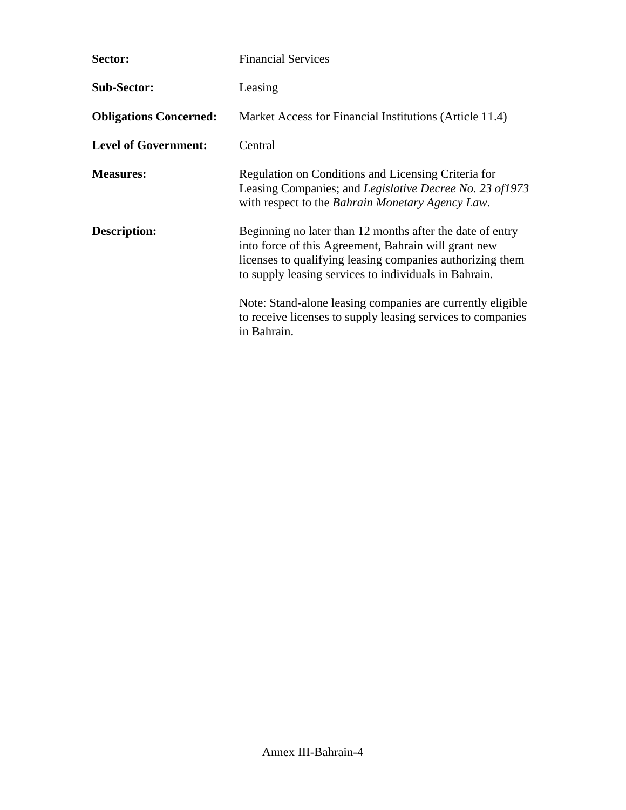| Sector:                       | <b>Financial Services</b>                                                                                                                                                                                                               |
|-------------------------------|-----------------------------------------------------------------------------------------------------------------------------------------------------------------------------------------------------------------------------------------|
| <b>Sub-Sector:</b>            | Leasing                                                                                                                                                                                                                                 |
| <b>Obligations Concerned:</b> | Market Access for Financial Institutions (Article 11.4)                                                                                                                                                                                 |
| <b>Level of Government:</b>   | Central                                                                                                                                                                                                                                 |
| <b>Measures:</b>              | Regulation on Conditions and Licensing Criteria for<br>Leasing Companies; and Legislative Decree No. 23 of1973<br>with respect to the Bahrain Monetary Agency Law.                                                                      |
| Description:                  | Beginning no later than 12 months after the date of entry<br>into force of this Agreement, Bahrain will grant new<br>licenses to qualifying leasing companies authorizing them<br>to supply leasing services to individuals in Bahrain. |
|                               | Note: Stand-alone leasing companies are currently eligible<br>to receive licenses to supply leasing services to companies<br>in Bahrain.                                                                                                |